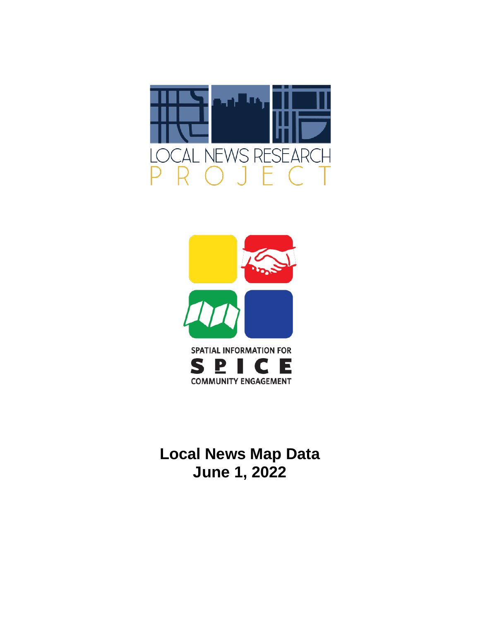



**Local News Map Data June 1, 2022**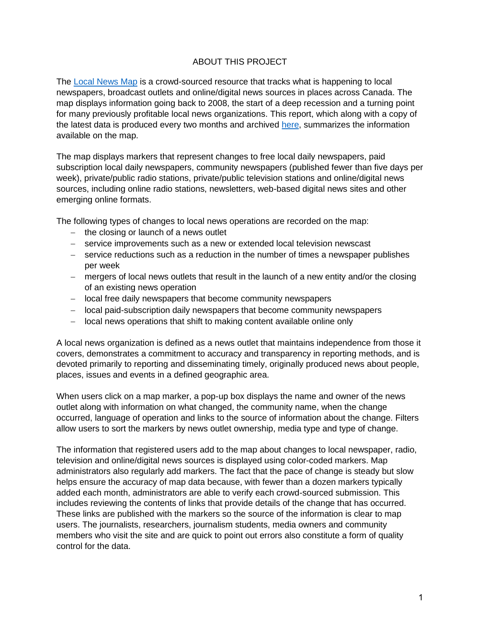#### ABOUT THIS PROJECT

The [Local News Map](https://localnewsmap.geolive.ca/) is a crowd-sourced resource that tracks what is happening to local newspapers, broadcast outlets and online/digital news sources in places across Canada. The map displays information going back to 2008, the start of a deep recession and a turning point for many previously profitable local news organizations. This report, which along with a copy of the latest data is produced every two months and archived [here,](https://localnewsresearchproject.ca/category/local-news-map-data/) summarizes the information available on the map.

The map displays markers that represent changes to free local daily newspapers, paid subscription local daily newspapers, community newspapers (published fewer than five days per week), private/public radio stations, private/public television stations and online/digital news sources, including online radio stations, newsletters, web-based digital news sites and other emerging online formats.

The following types of changes to local news operations are recorded on the map:

- − the closing or launch of a news outlet
- − service improvements such as a new or extended local television newscast
- − service reductions such as a reduction in the number of times a newspaper publishes per week
- − mergers of local news outlets that result in the launch of a new entity and/or the closing of an existing news operation
- − local free daily newspapers that become community newspapers
- − local paid-subscription daily newspapers that become community newspapers
- − local news operations that shift to making content available online only

A local news organization is defined as a news outlet that maintains independence from those it covers, demonstrates a commitment to accuracy and transparency in reporting methods, and is devoted primarily to reporting and disseminating timely, originally produced news about people, places, issues and events in a defined geographic area.

When users click on a map marker, a pop-up box displays the name and owner of the news outlet along with information on what changed, the community name, when the change occurred, language of operation and links to the source of information about the change. Filters allow users to sort the markers by news outlet ownership, media type and type of change.

The information that registered users add to the map about changes to local newspaper, radio, television and online/digital news sources is displayed using color-coded markers. Map administrators also regularly add markers. The fact that the pace of change is steady but slow helps ensure the accuracy of map data because, with fewer than a dozen markers typically added each month, administrators are able to verify each crowd-sourced submission. This includes reviewing the contents of links that provide details of the change that has occurred. These links are published with the markers so the source of the information is clear to map users. The journalists, researchers, journalism students, media owners and community members who visit the site and are quick to point out errors also constitute a form of quality control for the data.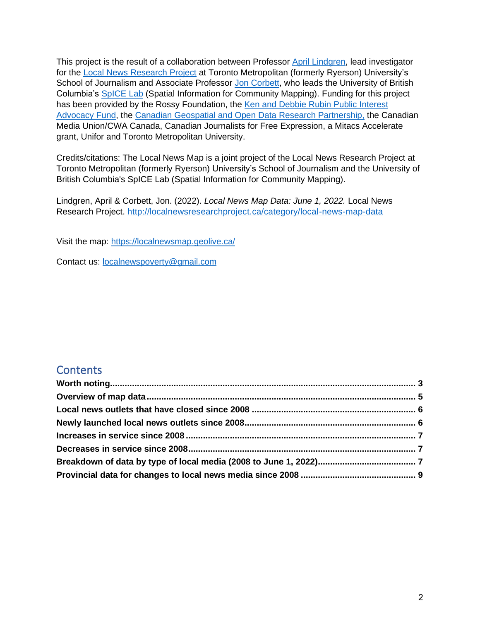This project is the result of a collaboration between Professor [April Lindgren,](http://rsj.journalism.ryerson.ca/team/april-lindgren/) lead investigator for the [Local News Research Project](http://localnewsresearchproject.ca/) at Toronto Metropolitan (formerly Ryerson) University's School of Journalism and Associate Professor [Jon Corbett,](http://joncorbett.com/JonCorbett/Home.html) who leads the University of British Columbia's [SpICE Lab](http://spice.geolive.ca/) (Spatial Information for Community Mapping). Funding for this project has been provided by the Rossy Foundation, the Ken and Debbie Rubin Public Interest [Advocacy Fund,](http://kenrubin.ca/grants/) the [Canadian Geospatial and Open Data Research Partnership,](http://geothink.ca/) the Canadian Media Union/CWA Canada, Canadian Journalists for Free Expression, a Mitacs Accelerate grant, Unifor and Toronto Metropolitan University.

Credits/citations: The Local News Map is a joint project of the Local News Research Project at Toronto Metropolitan (formerly Ryerson) University's School of Journalism and the University of British Columbia's SpICE Lab (Spatial Information for Community Mapping).

Lindgren, April & Corbett, Jon. (2022). *Local News Map Data: June 1, 2022.* Local News Research Project.<http://localnewsresearchproject.ca/category/local-news-map-data>

Visit the map:<https://localnewsmap.geolive.ca/>

Contact us: [localnewspoverty@gmail.com](mailto:localnewspoverty@gmail.com)

### **Contents**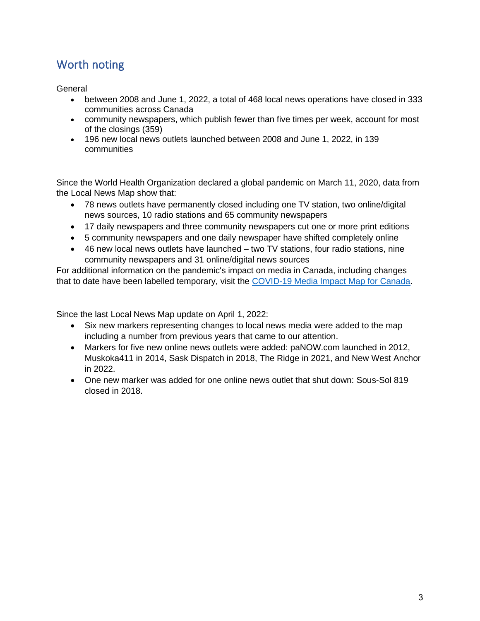## <span id="page-3-0"></span>Worth noting

<span id="page-3-1"></span>General

- between 2008 and June 1, 2022, a total of 468 local news operations have closed in 333 communities across Canada
- community newspapers, which publish fewer than five times per week, account for most of the closings (359)
- 196 new local news outlets launched between 2008 and June 1, 2022, in 139 communities

Since the World Health Organization declared a global pandemic on March 11, 2020, data from the Local News Map show that:

- 78 news outlets have permanently closed including one TV station, two online/digital news sources, 10 radio stations and 65 community newspapers
- 17 daily newspapers and three community newspapers cut one or more print editions
- 5 community newspapers and one daily newspaper have shifted completely online
- 46 new local news outlets have launched two TV stations, four radio stations, nine community newspapers and 31 online/digital news sources

For additional information on the pandemic's impact on media in Canada, including changes that to date have been labelled temporary, visit the [COVID-19 Media Impact Map for Canada.](https://localnewsresearchproject.ca/covid-19-media-impact-map-for-canada/)

Since the last Local News Map update on April 1, 2022:

- Six new markers representing changes to local news media were added to the map including a number from previous years that came to our attention.
- Markers for five new online news outlets were added: paNOW.com launched in 2012, Muskoka411 in 2014, Sask Dispatch in 2018, The Ridge in 2021, and New West Anchor in 2022.
- One new marker was added for one online news outlet that shut down: Sous-Sol 819 closed in 2018.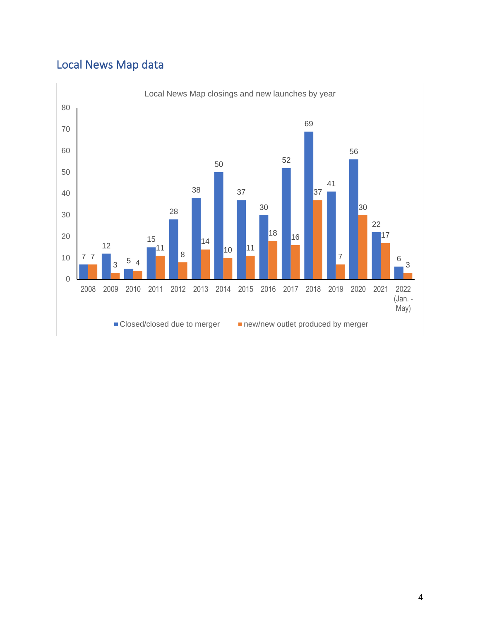# Local News Map data

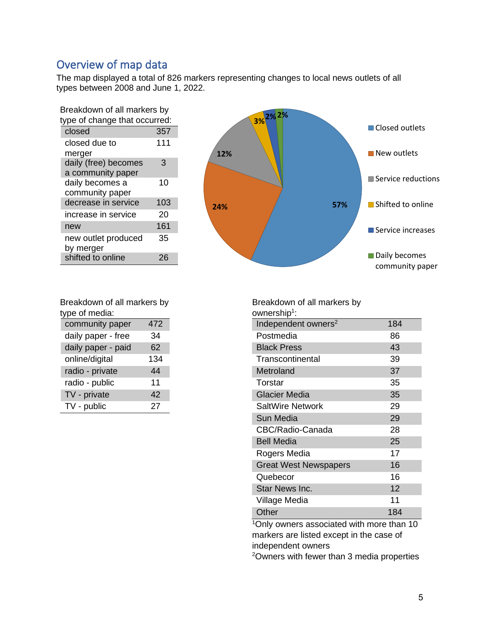## Overview of map data

The map displayed a total of 826 markers representing changes to local news outlets of all types between 2008 and June 1, 2022.

| Breakdown of all markers by   |     |  |  |  |
|-------------------------------|-----|--|--|--|
| type of change that occurred: |     |  |  |  |
| closed                        | 357 |  |  |  |
| closed due to                 | 111 |  |  |  |
| merger                        |     |  |  |  |
| daily (free) becomes          | 3   |  |  |  |
| a community paper             |     |  |  |  |
| daily becomes a               | 10  |  |  |  |
| community paper               |     |  |  |  |
| decrease in service           | 103 |  |  |  |
| increase in service           | 20  |  |  |  |
| new                           | 161 |  |  |  |
| new outlet produced           | 35  |  |  |  |
| by merger                     |     |  |  |  |
| shifted to online             | 26  |  |  |  |
|                               |     |  |  |  |



| Breakdown of all markers by |     |  |  |  |
|-----------------------------|-----|--|--|--|
| type of media:              |     |  |  |  |
| community paper             | 472 |  |  |  |
| daily paper - free          | 34  |  |  |  |
| daily paper - paid          | 62  |  |  |  |
| online/digital              | 134 |  |  |  |
| radio - private             | 44  |  |  |  |
| radio - public              | 11  |  |  |  |
| TV - private                | 42  |  |  |  |
| TV - public                 | 27  |  |  |  |

Breakdown of all markers by ownership<sup>1</sup>: Independent owners<sup>2</sup> 184 Postmedia 86 Black Press 43 Transcontinental 39 Metroland 37 Torstar 35 Glacier Media 35 SaltWire Network 29 Sun Media 29 CBC/Radio-Canada 28 Bell Media 25 Rogers Media 17 Great West Newspapers 16 Quebecor 16 Star News Inc. 12 Village Media 11 Other 184 <sup>1</sup>Only owners associated with more than 10

markers are listed except in the case of independent owners

<sup>2</sup>Owners with fewer than 3 media properties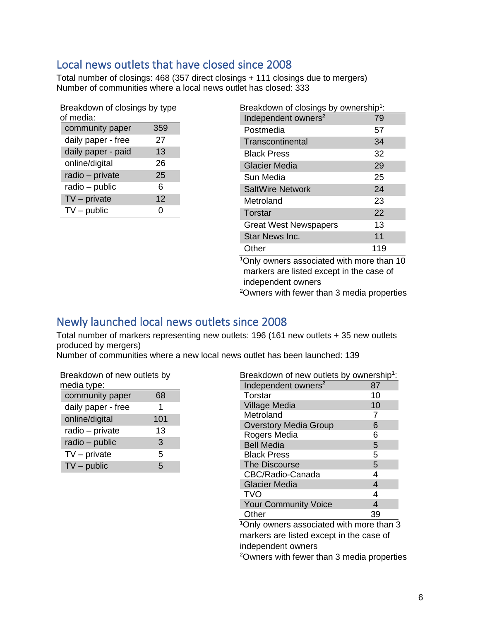## <span id="page-6-0"></span>Local news outlets that have closed since 2008

Total number of closings: 468 (357 direct closings + 111 closings due to mergers) Number of communities where a local news outlet has closed: 333

| Breakdown of closings by type |     |  |  |  |
|-------------------------------|-----|--|--|--|
| of media:                     |     |  |  |  |
| community paper               | 359 |  |  |  |
| daily paper - free            | 27  |  |  |  |
| daily paper - paid            | 13  |  |  |  |
| online/digital                | 26  |  |  |  |
| radio - private               | 25  |  |  |  |
| radio - public                | 6   |  |  |  |
| $TV$ – private                | 12  |  |  |  |
| $TV$ – public                 |     |  |  |  |

| Breakdown of closings by ownership <sup>1</sup> :     |     |  |  |  |
|-------------------------------------------------------|-----|--|--|--|
| Independent owners <sup>2</sup>                       | 79  |  |  |  |
| Postmedia                                             | 57  |  |  |  |
| Transcontinental                                      | 34  |  |  |  |
| <b>Black Press</b>                                    | 32  |  |  |  |
| <b>Glacier Media</b>                                  | 29  |  |  |  |
| Sun Media                                             | 25  |  |  |  |
| <b>SaltWire Network</b>                               | 24  |  |  |  |
| Metroland                                             | 23  |  |  |  |
| Torstar                                               | 22  |  |  |  |
| <b>Great West Newspapers</b>                          | 13  |  |  |  |
| <b>Star News Inc.</b>                                 | 11  |  |  |  |
| Other                                                 | 119 |  |  |  |
| <sup>1</sup> Only owners associated with more than 10 |     |  |  |  |

<sup>1</sup>Only owners associated with more than 10 markers are listed except in the case of independent owners

<sup>2</sup>Owners with fewer than 3 media properties

### <span id="page-6-1"></span>Newly launched local news outlets since 2008

Total number of markers representing new outlets: 196 (161 new outlets + 35 new outlets produced by mergers)

Number of communities where a new local news outlet has been launched: 139

| Breakdown of new outlets by<br>media type: |     |  |  |  |
|--------------------------------------------|-----|--|--|--|
| community paper                            | 68  |  |  |  |
| daily paper - free                         | 1   |  |  |  |
| online/digital                             | 101 |  |  |  |
| radio - private                            | 13  |  |  |  |
| radio - public                             | 3   |  |  |  |
| $TV$ – private                             | 5   |  |  |  |
| $TV$ – public                              | 5   |  |  |  |

| Breakdown of new outlets by ownership <sup>1</sup> :        |     |
|-------------------------------------------------------------|-----|
| Independent owners <sup>2</sup>                             | 87  |
| Torstar                                                     | 10  |
| <b>Village Media</b>                                        | 10  |
| Metroland                                                   | 7   |
| <b>Overstory Media Group</b>                                | 6   |
| Rogers Media                                                | 6   |
| <b>Bell Media</b>                                           | 5   |
| <b>Black Press</b>                                          | 5   |
| The Discourse                                               | 5   |
| CBC/Radio-Canada                                            | 4   |
| <b>Glacier Media</b>                                        | 4   |
| <b>TVO</b>                                                  | 4   |
| <b>Your Community Voice</b>                                 | 4   |
| Other                                                       | 39  |
| $1 \cap$ $\blacksquare$<br><b><i>P. L. P. L. Patter</i></b> | . . |

<sup>1</sup>Only owners associated with more than 3 markers are listed except in the case of independent owners

<sup>2</sup>Owners with fewer than 3 media properties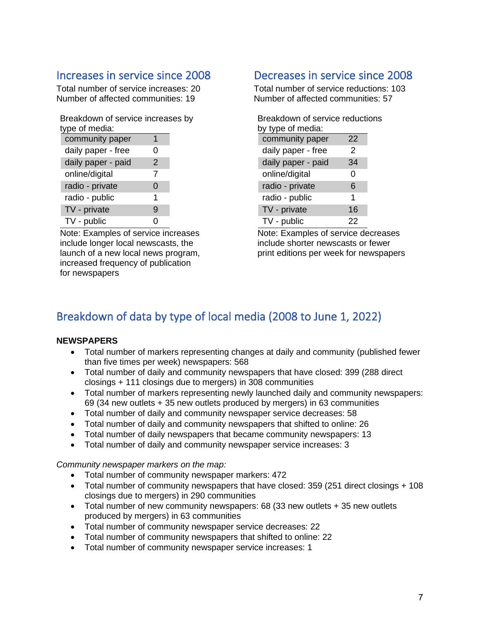## <span id="page-7-0"></span>Increases in service since 2008

Total number of service increases: 20 Number of affected communities: 19

Breakdown of service increases by type of media:

| community paper    |               |
|--------------------|---------------|
| daily paper - free | ი             |
| daily paper - paid | $\mathcal{P}$ |
| online/digital     | 7             |
| radio - private    | 0             |
| radio - public     | 1             |
| TV - private       | 9             |
| TV - public        |               |

Note: Examples of service increases include longer local newscasts, the launch of a new local news program, increased frequency of publication for newspapers

## <span id="page-7-1"></span>Decreases in service since 2008

Total number of service reductions: 103 Number of affected communities: 57

| Breakdown of service reductions |    |  |  |  |  |
|---------------------------------|----|--|--|--|--|
| by type of media:               |    |  |  |  |  |
| community paper                 | 22 |  |  |  |  |
| daily paper - free              | 2  |  |  |  |  |
| daily paper - paid              | 34 |  |  |  |  |
| online/digital                  | 0  |  |  |  |  |
| radio - private                 | 6  |  |  |  |  |
| radio - public                  | 1  |  |  |  |  |
| TV - private                    | 16 |  |  |  |  |
| TV - public                     | 22 |  |  |  |  |

Note: Examples of service decreases include shorter newscasts or fewer print editions per week for newspapers

## <span id="page-7-2"></span>Breakdown of data by type of local media (2008 to June 1, 2022)

### **NEWSPAPERS**

- Total number of markers representing changes at daily and community (published fewer than five times per week) newspapers: 568
- Total number of daily and community newspapers that have closed: 399 (288 direct closings + 111 closings due to mergers) in 308 communities
- Total number of markers representing newly launched daily and community newspapers: 69 (34 new outlets + 35 new outlets produced by mergers) in 63 communities
- Total number of daily and community newspaper service decreases: 58
- Total number of daily and community newspapers that shifted to online: 26
- Total number of daily newspapers that became community newspapers: 13
- Total number of daily and community newspaper service increases: 3

*Community newspaper markers on the map:*

- Total number of community newspaper markers: 472
- Total number of community newspapers that have closed: 359 (251 direct closings + 108 closings due to mergers) in 290 communities
- Total number of new community newspapers: 68 (33 new outlets + 35 new outlets produced by mergers) in 63 communities
- Total number of community newspaper service decreases: 22
- Total number of community newspapers that shifted to online: 22
- Total number of community newspaper service increases: 1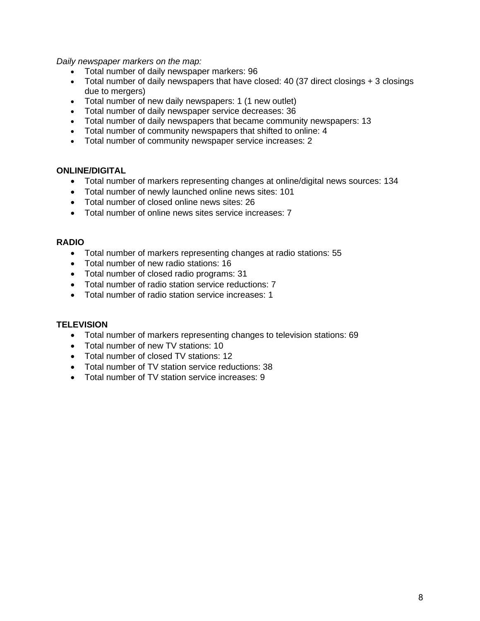*Daily newspaper markers on the map:*

- Total number of daily newspaper markers: 96
- Total number of daily newspapers that have closed: 40 (37 direct closings + 3 closings due to mergers)
- Total number of new daily newspapers: 1 (1 new outlet)
- Total number of daily newspaper service decreases: 36
- Total number of daily newspapers that became community newspapers: 13
- Total number of community newspapers that shifted to online: 4
- Total number of community newspaper service increases: 2

#### **ONLINE/DIGITAL**

- Total number of markers representing changes at online/digital news sources: 134
- Total number of newly launched online news sites: 101
- Total number of closed online news sites: 26
- Total number of online news sites service increases: 7

#### **RADIO**

- Total number of markers representing changes at radio stations: 55
- Total number of new radio stations: 16
- Total number of closed radio programs: 31
- Total number of radio station service reductions: 7
- Total number of radio station service increases: 1

#### **TELEVISION**

- Total number of markers representing changes to television stations: 69
- Total number of new TV stations: 10
- Total number of closed TV stations: 12
- Total number of TV station service reductions: 38
- Total number of TV station service increases: 9